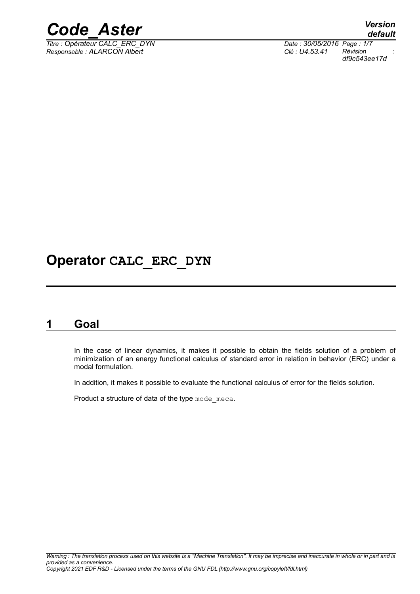

*Titre : Opérateur CALC\_ERC\_DYN Date : 30/05/2016 Page : 1/7 Responsable : ALARCON Albert Clé : U4.53.41 Révision :*

*default df9c543ee17d*

## **Operator CALC\_ERC\_DYN**

### **1 Goal**

In the case of linear dynamics, it makes it possible to obtain the fields solution of a problem of minimization of an energy functional calculus of standard error in relation in behavior (ERC) under a modal formulation.

In addition, it makes it possible to evaluate the functional calculus of error for the fields solution.

Product a structure of data of the type mode meca.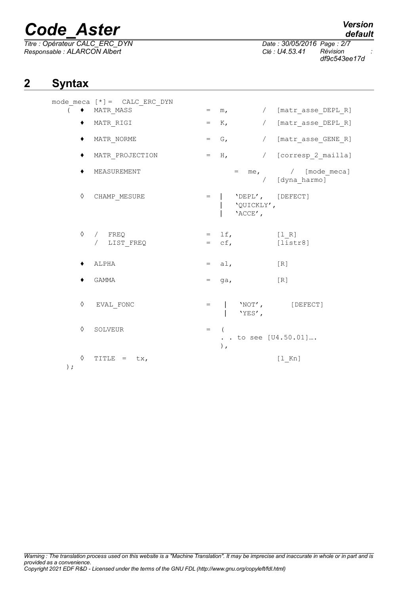*Titre : Opérateur CALC\_ERC\_DYN Date : 30/05/2016 Page : 2/7 Responsable : ALARCON Albert Clé : U4.53.41 Révision :*

# *default*

*df9c543ee17d*

### **2 Syntax**

|            | mode meca $[*] =$ CALC ERC DYN |     |                |                                           |                                           |
|------------|--------------------------------|-----|----------------|-------------------------------------------|-------------------------------------------|
|            | MATR MASS                      | $=$ |                | $m_{\ell}$                                | / [matr asse DEPL R]                      |
|            | MATR RIGI                      | $=$ | $K_{\ell}$     |                                           | / [matr_asse_DEPL_R]                      |
| ٠          | MATR NORME                     | $=$ | G,             |                                           | / [matr asse GENE R]                      |
|            | MATR PROJECTION                | $=$ | $H_{\ell}$     |                                           | / [corresp 2 mailla]                      |
|            | MEASUREMENT                    |     |                |                                           | $=$ me, $/$ [mode meca]<br>/ [dyna_harmo] |
| ♦          | CHAMP MESURE                   | $=$ |                | 'DEPL', [DEFECT]<br>'QUICKLY',<br>'ACCE', |                                           |
| ♦          | / FREQ<br>LIST FREQ            | $=$ | $=$ 1f,<br>cf, |                                           | [1 R]<br>$[\overline{\text{listr8}}]$     |
|            | ALPHA                          |     | $=$ $a1,$      |                                           | [R]                                       |
|            | GAMMA                          | $=$ | qa,            |                                           | [R]                                       |
| ♦          | EVAL FONC                      | $=$ |                | 'YES',                                    | 'NOT', [DEFECT]                           |
| ♦          | SOLVEUR                        | $=$ | ),             |                                           | . . to see [U4.50.01]                     |
| ♦<br>$)$ ; | TITLE =<br>tx,                 |     |                |                                           | $[1$ Kn]                                  |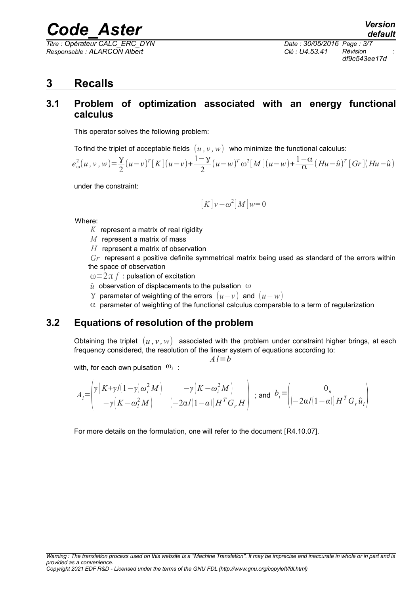*Titre : Opérateur CALC\_ERC\_DYN Date : 30/05/2016 Page : 3/7 Responsable : ALARCON Albert Clé : U4.53.41 Révision :*

*df9c543ee17d*

### **3 Recalls**

#### **3.1 Problem of optimization associated with an energy functional calculus**

This operator solves the following problem:

To find the triplet of acceptable fields  $(u, v, w)$  who minimize the functional calculus:

$$
e_{\omega}^{2}(u,v,w) = \frac{y}{2}(u-v)^{T}[K](u-v) + \frac{1-y}{2}(u-w)^{T}\omega^{2}[M](u-w) + \frac{1-\alpha}{\alpha}(Hu-\hat{u})^{T}[Gr](Hu-\hat{u})
$$

under the constraint:

$$
[K]v - \omega^2[M]w = 0
$$

Where:

- *K* represent a matrix of real rigidity
- *M* represent a matrix of mass
- *H* represent a matrix of observation

*Gr* represent a positive definite symmetrical matrix being used as standard of the errors within the space of observation

 $\omega = 2\pi f$ : pulsation of excitation

- $\hat{u}$  observation of displacements to the pulsation  $\omega$
- γ parameter of weighting of the errors (*u*−*v* ) and (*u*−*w*)
- $\alpha$  parameter of weighting of the functional calculus comparable to a term of regularization

#### **3.2 Equations of resolution of the problem**

Obtaining the triplet  $(u, v, w)$  associated with the problem under constraint higher brings, at each frequency considered, the resolution of the linear system of equations according to:

 $A$ *l*= $b$ 

with, for each own pulsation  $\omega_i$ :

$$
A_i = \begin{pmatrix} \gamma \left( K + \gamma/(1-\gamma)\omega_i^2 M \right) & -\gamma \left( K - \omega_i^2 M \right) \\ -\gamma \left( K - \omega_i^2 M \right) & \left( -2\alpha/(1-\alpha) \right) H^T G_r H \end{pmatrix} \text{ ; and } b_i = \begin{pmatrix} 0_n & 0 \\ \left( -2\alpha/(1-\alpha) \right) H^T G_r \hat{u}_i \end{pmatrix}
$$

For more details on the formulation, one will refer to the document [R4.10.07].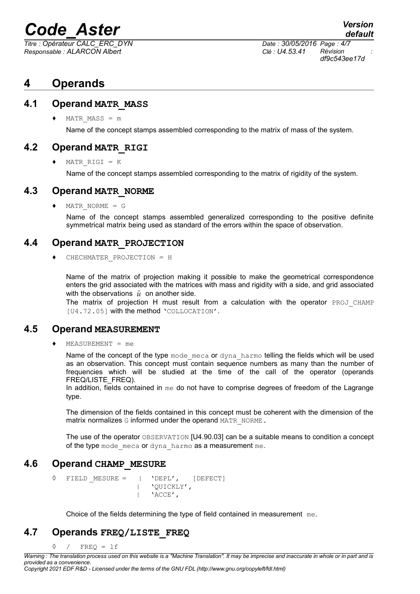*Titre : Opérateur CALC\_ERC\_DYN Date : 30/05/2016 Page : 4/7 Responsable : ALARCON Albert Clé : U4.53.41 Révision :*

*df9c543ee17d*

*default*

### **4 Operands**

#### **4.1 Operand MATR\_MASS**

 $MATR$   $MASS = m$ 

Name of the concept stamps assembled corresponding to the matrix of mass of the system.

#### **4.2 Operand MATR\_RIGI**

♦ MATR\_RIGI = K

Name of the concept stamps assembled corresponding to the matrix of rigidity of the system.

#### **4.3 Operand MATR\_NORME**

 $MATR$  NORME = G

Name of the concept stamps assembled generalized corresponding to the positive definite symmetrical matrix being used as standard of the errors within the space of observation.

#### **4.4 Operand MATR\_PROJECTION**

♦ CHECHMATER\_PROJECTION = H

Name of the matrix of projection making it possible to make the geometrical correspondence enters the grid associated with the matrices with mass and rigidity with a side, and grid associated with the observations  $\hat{u}$  on another side.

The matrix of projection H must result from a calculation with the operator PROJ CHAMP [U4.72.05] with the method 'COLLOCATION'.

#### **4.5 Operand MEASUREMENT**

♦ MEASUREMENT = me

Name of the concept of the type mode meca or dyna harmo telling the fields which will be used as an observation. This concept must contain sequence numbers as many than the number of frequencies which will be studied at the time of the call of the operator (operands FREQ/LISTE\_FREQ).

In addition, fields contained in  $me$  do not have to comprise degrees of freedom of the Lagrange type.

The dimension of the fields contained in this concept must be coherent with the dimension of the matrix normalizes G informed under the operand MATR\_NORME.

The use of the operator OBSERVATION [U4.90.03] can be a suitable means to condition a concept of the type mode meca or dyna harmo as a measurement me.

#### **4.6 Operand CHAMP\_MESURE**

 $\Diamond$  FIELD MESURE = | 'DEPL', [DEFECT] | 'QUICKLY', | 'ACCE',

Choice of the fields determining the type of field contained in measurement me.

#### **4.7 Operands FREQ/LISTE\_FREQ**

 $\Diamond$  / FREQ = 1f

*Copyright 2021 EDF R&D - Licensed under the terms of the GNU FDL (http://www.gnu.org/copyleft/fdl.html)*

*Warning : The translation process used on this website is a "Machine Translation". It may be imprecise and inaccurate in whole or in part and is provided as a convenience.*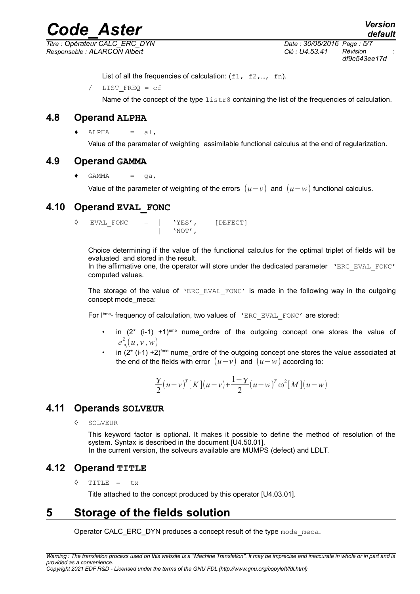*Responsable : ALARCON Albert Clé : U4.53.41 Révision :*

*Titre : Opérateur CALC\_ERC\_DYN Date : 30/05/2016 Page : 5/7 df9c543ee17d*

List of all the frequencies of calculation:  $(f1, f2, ..., fn)$ .

/ LIST**\_**FREQ = cf

Name of the concept of the type listr8 containing the list of the frequencies of calculation.

#### **4.8 Operand ALPHA**

 $ALPHA = a1,$ 

Value of the parameter of weighting assimilable functional calculus at the end of regularization.

#### **4.9 Operand GAMMA**

 $GAMMA = qa,$ 

Value of the parameter of weighting of the errors  $(u-v)$  and  $(u-w)$  functional calculus.

#### **4.10 Operand EVAL\_FONC**

◊ EVAL\_FONC = | 'YES', [DEFECT] | 'NOT',

Choice determining if the value of the functional calculus for the optimal triplet of fields will be evaluated and stored in the result. In the affirmative one, the operator will store under the dedicated parameter 'ERC EVAL FONC' computed values.

The storage of the value of 'ERC EVAL FONC' is made in the following way in the outgoing concept mode\_meca:

For lème- frequency of calculation, two values of 'ERC\_EVAL\_FONC' are stored:

- in  $(2^*$  (i-1) +1)<sup>ème</sup> nume ordre of the outgoing concept one stores the value of  $e_{\omega_i}^2(u,v,w)$
- in  $(2^*$  (i-1) +2)<sup>ème</sup> nume ordre of the outgoing concept one stores the value associated at the end of the fields with error  $(u-v)$  and  $(u-w)$  according to:

$$
\frac{y}{2}(u-v)^{T}[K](u-v)+\frac{1-y}{2}(u-w)^{T}\omega^{2}[M](u-w)
$$

#### **4.11 Operands SOLVEUR**

◊ SOLVEUR

This keyword factor is optional. It makes it possible to define the method of resolution of the system. Syntax is described in the document [U4.50.01].

In the current version, the solveurs available are MUMPS (defect) and LDLT.

#### **4.12 Operand TITLE**

◊ TITLE = tx

Title attached to the concept produced by this operator [U4.03.01].

#### **5 Storage of the fields solution**

Operator CALC\_ERC\_DYN produces a concept result of the type mode meca.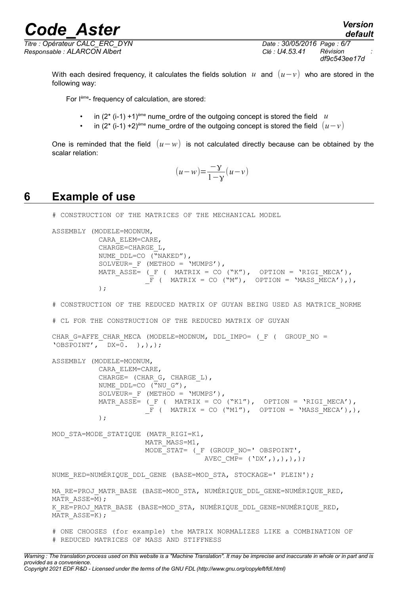*Responsable : ALARCON Albert Clé : U4.53.41 Révision :*

*Titre : Opérateur CALC\_ERC\_DYN Date : 30/05/2016 Page : 6/7 df9c543ee17d*

*default*

With each desired frequency, it calculates the fields solution *u* and (*u*−*v*) who are stored in the following way:

For Ième- frequency of calculation, are stored:

- in  $(2^*$  (i-1) +1)<sup>ème</sup> nume ordre of the outgoing concept is stored the field  $u$
- in (2<sup>\*</sup> (i-1) +2)<sup>ème</sup> nume ordre of the outgoing concept is stored the field  $(u-v)$

One is reminded that the field (*u*−*w*) is not calculated directly because can be obtained by the scalar relation:

$$
(u-w) = \frac{-y}{1-y}(u-v)
$$

#### **6 Example of use**

# CONSTRUCTION OF THE MATRICES OF THE MECHANICAL MODEL

```
ASSEMBLY (MODELE=MODNUM,
            CARA_ELEM=CARE,
            CHARGE=CHARGE_L,
           NUME DDL=CO (\sqrt{N}NAKED''),
           SOLVEUR= F (METHOD = 'MUMPS'),
           MATR ASSE= (F ( MATRIX = CO ("K"), OPTION = 'RIGI MECA'),
                       F ( MATRIX = CO ("M"), OPTION = 'MASS MECA'),),
            );
```
# CONSTRUCTION OF THE REDUCED MATRIX OF GUYAN BEING USED AS MATRICE\_NORME

# CL FOR THE CONSTRUCTION OF THE REDUCED MATRIX OF GUYAN

```
CHAR_G=AFFE_CHAR_MECA (MODELE=MODNUM, DDL_IMPO= (_F ( GROUP NO =
'OBSPOINT', DX=\overline{0}. ),),);
```

```
ASSEMBLY (MODELE=MODNUM,
            CARA_ELEM=CARE,
           CHARGE= (CHAR G, CHARGE L),
           NUME DDL=CO ("NU G"),
           SOLVEUR= F (METHOD = 'MUMPS'),
           MATR_ASSE= (F ( MATRIX = CO ("K1''), OPTION = 'RIGI_MECA'),F ( MATRIX = CO ("M1"), OPTION = 'MASS MECA'),),
            );
```
MOD\_STA=MODE\_STATIQUE (MATR\_RIGI=K1, MATR\_MASS=M1, MODE\_STAT= (\_F (GROUP\_NO=' OBSPOINT', AVEC CMP=  $(\ 'DX',\ )\ ,\ )\ ,\ )\ ;$ 

NUME\_RED=NUMÉRIQUE\_DDL\_GENE (BASE=MOD\_STA, STOCKAGE=' PLEIN');

MA\_RE=PROJ\_MATR\_BASE (BASE=MOD\_STA, NUMÉRIQUE\_DDL\_GENE=NUMÉRIQUE\_RED, MATR ASSE=M) ; K\_RE=PROJ\_MATR\_BASE (BASE=MOD\_STA, NUMÉRIQUE\_DDL\_GENE=NUMÉRIQUE\_RED,  $MATR$  ASSE=K);

# ONE CHOOSES (for example) the MATRIX NORMALIZES LIKE a COMBINATION OF # REDUCED MATRICES OF MASS AND STIFFNESS